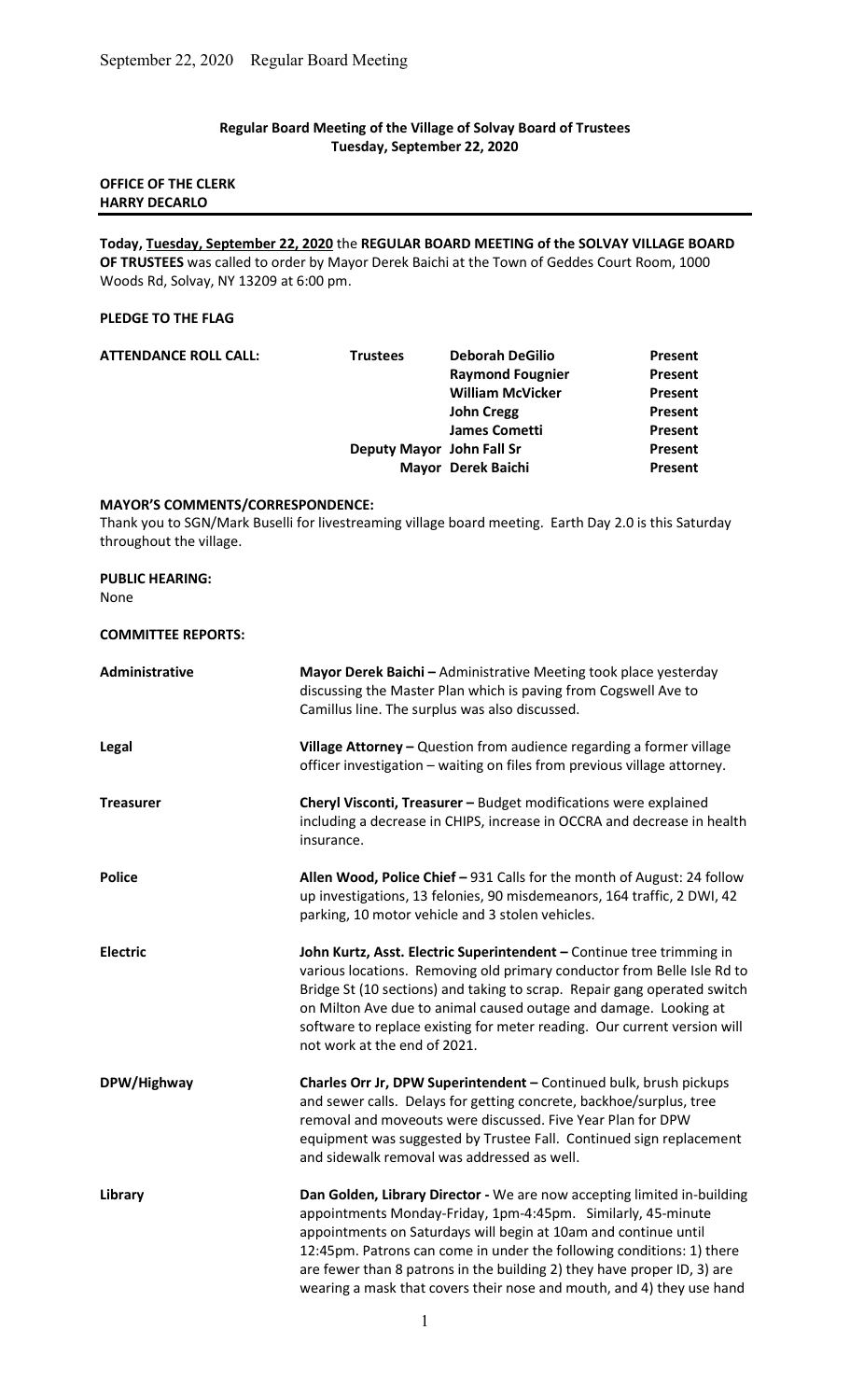# Regular Board Meeting of the Village of Solvay Board of Trustees Tuesday, September 22, 2020

# OFFICE OF THE CLERK HARRY DECARLO

Today, Tuesday, September 22, 2020 the REGULAR BOARD MEETING of the SOLVAY VILLAGE BOARD OF TRUSTEES was called to order by Mayor Derek Baichi at the Town of Geddes Court Room, 1000 Woods Rd, Solvay, NY 13209 at 6:00 pm.

## PLEDGE TO THE FLAG

| <b>ATTENDANCE ROLL CALL:</b> | <b>Trustees</b>           | <b>Deborah DeGilio</b>  | Present |
|------------------------------|---------------------------|-------------------------|---------|
|                              |                           | <b>Raymond Fougnier</b> | Present |
|                              |                           | <b>William McVicker</b> | Present |
|                              |                           | <b>John Cregg</b>       | Present |
|                              |                           | <b>James Cometti</b>    | Present |
|                              | Deputy Mayor John Fall Sr |                         | Present |
|                              |                           | Mayor Derek Baichi      | Present |
|                              |                           |                         |         |

#### MAYOR'S COMMENTS/CORRESPONDENCE:

Thank you to SGN/Mark Buselli for livestreaming village board meeting. Earth Day 2.0 is this Saturday throughout the village.

#### PUBLIC HEARING:

None

## COMMITTEE REPORTS:

| Administrative   | Mayor Derek Baichi - Administrative Meeting took place yesterday<br>discussing the Master Plan which is paving from Cogswell Ave to<br>Camillus line. The surplus was also discussed.                                                                                                                                                                                                                                                   |
|------------------|-----------------------------------------------------------------------------------------------------------------------------------------------------------------------------------------------------------------------------------------------------------------------------------------------------------------------------------------------------------------------------------------------------------------------------------------|
| Legal            | Village Attorney - Question from audience regarding a former village<br>officer investigation - waiting on files from previous village attorney.                                                                                                                                                                                                                                                                                        |
| <b>Treasurer</b> | Cheryl Visconti, Treasurer - Budget modifications were explained<br>including a decrease in CHIPS, increase in OCCRA and decrease in health<br>insurance.                                                                                                                                                                                                                                                                               |
| <b>Police</b>    | Allen Wood, Police Chief - 931 Calls for the month of August: 24 follow<br>up investigations, 13 felonies, 90 misdemeanors, 164 traffic, 2 DWI, 42<br>parking, 10 motor vehicle and 3 stolen vehicles.                                                                                                                                                                                                                                  |
| <b>Electric</b>  | John Kurtz, Asst. Electric Superintendent - Continue tree trimming in<br>various locations. Removing old primary conductor from Belle Isle Rd to<br>Bridge St (10 sections) and taking to scrap. Repair gang operated switch<br>on Milton Ave due to animal caused outage and damage. Looking at<br>software to replace existing for meter reading. Our current version will<br>not work at the end of 2021.                            |
| DPW/Highway      | Charles Orr Jr, DPW Superintendent - Continued bulk, brush pickups<br>and sewer calls. Delays for getting concrete, backhoe/surplus, tree<br>removal and moveouts were discussed. Five Year Plan for DPW<br>equipment was suggested by Trustee Fall. Continued sign replacement<br>and sidewalk removal was addressed as well.                                                                                                          |
| Library          | Dan Golden, Library Director - We are now accepting limited in-building<br>appointments Monday-Friday, 1pm-4:45pm. Similarly, 45-minute<br>appointments on Saturdays will begin at 10am and continue until<br>12:45pm. Patrons can come in under the following conditions: 1) there<br>are fewer than 8 patrons in the building 2) they have proper ID, 3) are<br>wearing a mask that covers their nose and mouth, and 4) they use hand |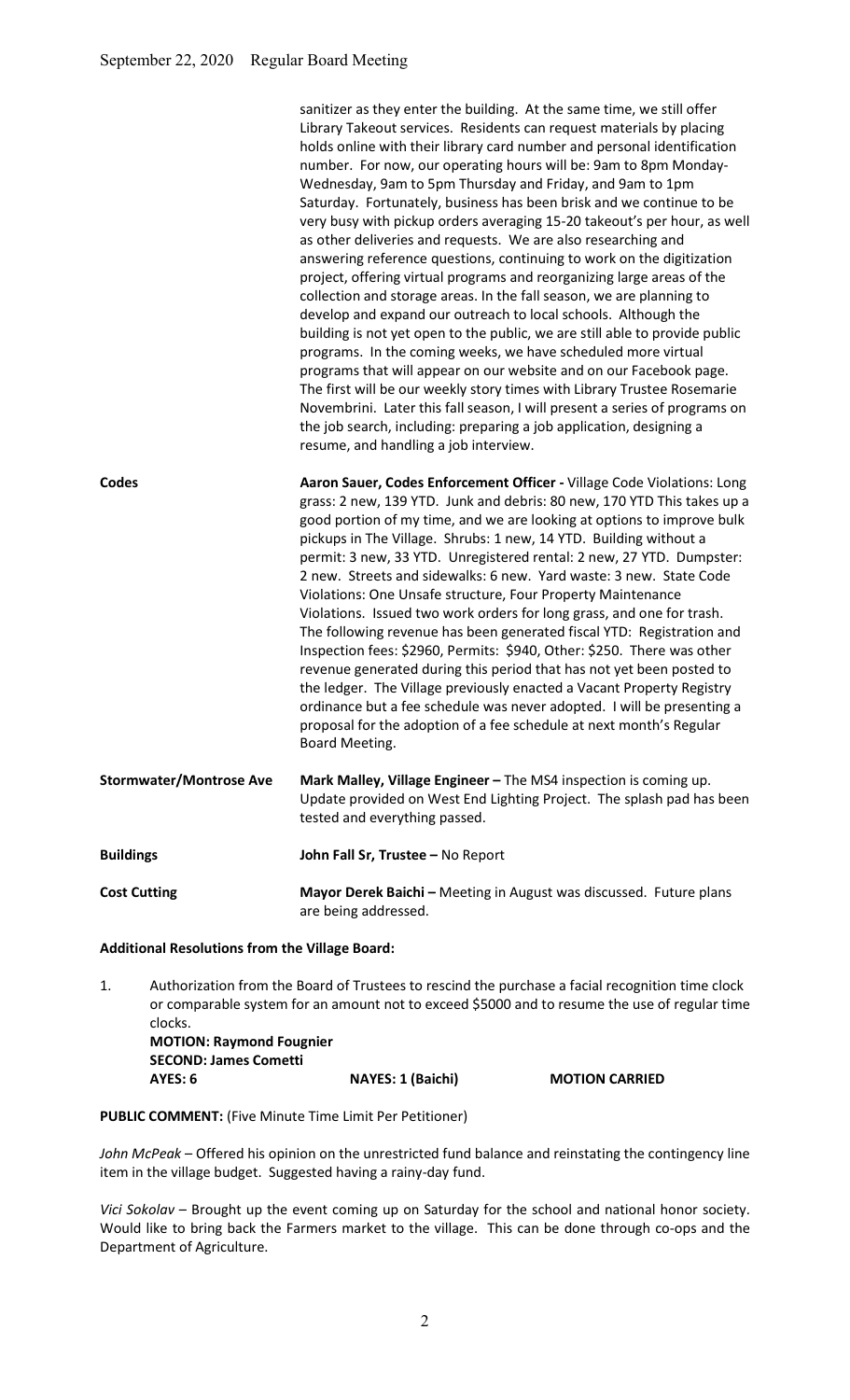|                                | sanitizer as they enter the building. At the same time, we still offer<br>Library Takeout services. Residents can request materials by placing<br>holds online with their library card number and personal identification<br>number. For now, our operating hours will be: 9am to 8pm Monday-<br>Wednesday, 9am to 5pm Thursday and Friday, and 9am to 1pm<br>Saturday. Fortunately, business has been brisk and we continue to be<br>very busy with pickup orders averaging 15-20 takeout's per hour, as well<br>as other deliveries and requests. We are also researching and<br>answering reference questions, continuing to work on the digitization<br>project, offering virtual programs and reorganizing large areas of the<br>collection and storage areas. In the fall season, we are planning to<br>develop and expand our outreach to local schools. Although the<br>building is not yet open to the public, we are still able to provide public<br>programs. In the coming weeks, we have scheduled more virtual<br>programs that will appear on our website and on our Facebook page.<br>The first will be our weekly story times with Library Trustee Rosemarie<br>Novembrini. Later this fall season, I will present a series of programs on<br>the job search, including: preparing a job application, designing a<br>resume, and handling a job interview. |
|--------------------------------|-----------------------------------------------------------------------------------------------------------------------------------------------------------------------------------------------------------------------------------------------------------------------------------------------------------------------------------------------------------------------------------------------------------------------------------------------------------------------------------------------------------------------------------------------------------------------------------------------------------------------------------------------------------------------------------------------------------------------------------------------------------------------------------------------------------------------------------------------------------------------------------------------------------------------------------------------------------------------------------------------------------------------------------------------------------------------------------------------------------------------------------------------------------------------------------------------------------------------------------------------------------------------------------------------------------------------------------------------------------------------------|
| Codes                          | Aaron Sauer, Codes Enforcement Officer - Village Code Violations: Long<br>grass: 2 new, 139 YTD. Junk and debris: 80 new, 170 YTD This takes up a<br>good portion of my time, and we are looking at options to improve bulk<br>pickups in The Village. Shrubs: 1 new, 14 YTD. Building without a<br>permit: 3 new, 33 YTD. Unregistered rental: 2 new, 27 YTD. Dumpster:<br>2 new. Streets and sidewalks: 6 new. Yard waste: 3 new. State Code<br>Violations: One Unsafe structure, Four Property Maintenance<br>Violations. Issued two work orders for long grass, and one for trash.<br>The following revenue has been generated fiscal YTD: Registration and<br>Inspection fees: \$2960, Permits: \$940, Other: \$250. There was other<br>revenue generated during this period that has not yet been posted to<br>the ledger. The Village previously enacted a Vacant Property Registry<br>ordinance but a fee schedule was never adopted. I will be presenting a<br>proposal for the adoption of a fee schedule at next month's Regular<br>Board Meeting.                                                                                                                                                                                                                                                                                                               |
| <b>Stormwater/Montrose Ave</b> | Mark Malley, Village Engineer - The MS4 inspection is coming up.<br>Update provided on West End Lighting Project. The splash pad has been<br>tested and everything passed.                                                                                                                                                                                                                                                                                                                                                                                                                                                                                                                                                                                                                                                                                                                                                                                                                                                                                                                                                                                                                                                                                                                                                                                                  |
| <b>Buildings</b>               | John Fall Sr, Trustee - No Report                                                                                                                                                                                                                                                                                                                                                                                                                                                                                                                                                                                                                                                                                                                                                                                                                                                                                                                                                                                                                                                                                                                                                                                                                                                                                                                                           |
| <b>Cost Cutting</b>            | Mayor Derek Baichi - Meeting in August was discussed. Future plans<br>are being addressed.                                                                                                                                                                                                                                                                                                                                                                                                                                                                                                                                                                                                                                                                                                                                                                                                                                                                                                                                                                                                                                                                                                                                                                                                                                                                                  |

### Additional Resolutions from the Village Board:

1. Authorization from the Board of Trustees to rescind the purchase a facial recognition time clock or comparable system for an amount not to exceed \$5000 and to resume the use of regular time clocks. MOTION: Raymond Fougnier SECOND: James Cometti AYES: 6 NAYES: 1 (Baichi) MOTION CARRIED

## PUBLIC COMMENT: (Five Minute Time Limit Per Petitioner)

John McPeak - Offered his opinion on the unrestricted fund balance and reinstating the contingency line item in the village budget. Suggested having a rainy-day fund.

Vici Sokolav – Brought up the event coming up on Saturday for the school and national honor society. Would like to bring back the Farmers market to the village. This can be done through co-ops and the Department of Agriculture.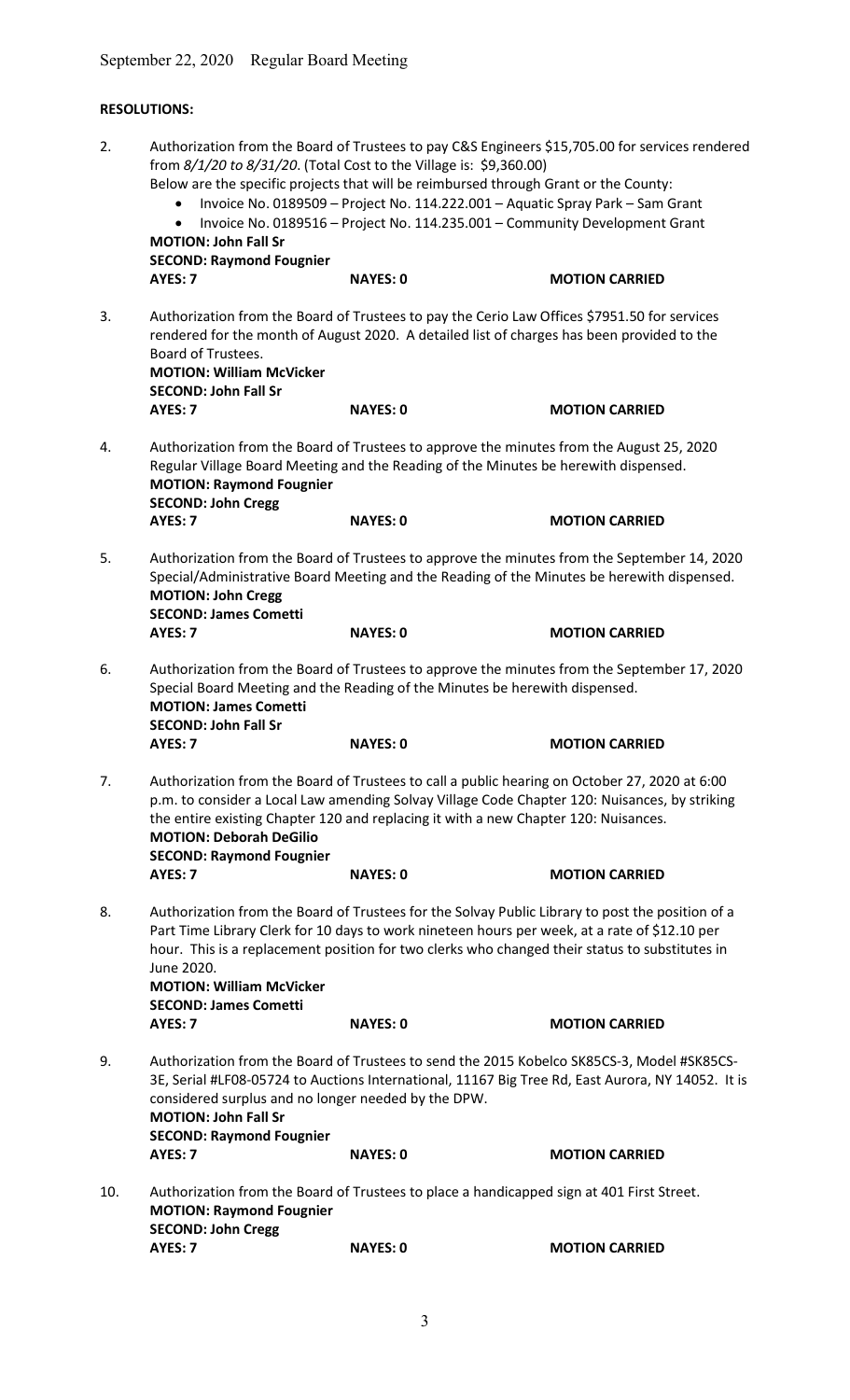# RESOLUTIONS:

| 2.  | Authorization from the Board of Trustees to pay C&S Engineers \$15,705.00 for services rendered<br>from 8/1/20 to 8/31/20. (Total Cost to the Village is: \$9,360.00)<br>Below are the specific projects that will be reimbursed through Grant or the County:<br>Invoice No. 0189509 - Project No. 114.222.001 - Aquatic Spray Park - Sam Grant<br>Invoice No. 0189516 - Project No. 114.235.001 - Community Development Grant<br>$\bullet$<br><b>MOTION: John Fall Sr</b> |                                                                                                                                                                                                               |                                                                                                                                               |  |  |
|-----|----------------------------------------------------------------------------------------------------------------------------------------------------------------------------------------------------------------------------------------------------------------------------------------------------------------------------------------------------------------------------------------------------------------------------------------------------------------------------|---------------------------------------------------------------------------------------------------------------------------------------------------------------------------------------------------------------|-----------------------------------------------------------------------------------------------------------------------------------------------|--|--|
|     | <b>SECOND: Raymond Fougnier</b><br>AYES: 7                                                                                                                                                                                                                                                                                                                                                                                                                                 | <b>NAYES: 0</b>                                                                                                                                                                                               | <b>MOTION CARRIED</b>                                                                                                                         |  |  |
| 3.  | Board of Trustees.<br><b>MOTION: William McVicker</b><br><b>SECOND: John Fall Sr</b><br>AYES: 7                                                                                                                                                                                                                                                                                                                                                                            | Authorization from the Board of Trustees to pay the Cerio Law Offices \$7951.50 for services<br>rendered for the month of August 2020. A detailed list of charges has been provided to the<br><b>NAYES: 0</b> | <b>MOTION CARRIED</b>                                                                                                                         |  |  |
| 4.  | <b>MOTION: Raymond Fougnier</b><br><b>SECOND: John Cregg</b><br>AYES: 7                                                                                                                                                                                                                                                                                                                                                                                                    | Authorization from the Board of Trustees to approve the minutes from the August 25, 2020<br>Regular Village Board Meeting and the Reading of the Minutes be herewith dispensed.<br><b>NAYES: 0</b>            | <b>MOTION CARRIED</b>                                                                                                                         |  |  |
| 5.  | Authorization from the Board of Trustees to approve the minutes from the September 14, 2020<br>Special/Administrative Board Meeting and the Reading of the Minutes be herewith dispensed.<br><b>MOTION: John Cregg</b><br><b>SECOND: James Cometti</b>                                                                                                                                                                                                                     |                                                                                                                                                                                                               |                                                                                                                                               |  |  |
| 6.  | AYES: 7<br><b>MOTION: James Cometti</b><br><b>SECOND: John Fall Sr</b><br>AYES: 7                                                                                                                                                                                                                                                                                                                                                                                          | <b>NAYES: 0</b><br>Special Board Meeting and the Reading of the Minutes be herewith dispensed.<br><b>NAYES: 0</b>                                                                                             | <b>MOTION CARRIED</b><br>Authorization from the Board of Trustees to approve the minutes from the September 17, 2020<br><b>MOTION CARRIED</b> |  |  |
| 7.  | Authorization from the Board of Trustees to call a public hearing on October 27, 2020 at 6:00<br>p.m. to consider a Local Law amending Solvay Village Code Chapter 120: Nuisances, by striking<br>the entire existing Chapter 120 and replacing it with a new Chapter 120: Nuisances.<br><b>MOTION: Deborah DeGilio</b><br><b>SECOND: Raymond Fougnier</b><br>AYES: 7<br><b>NAYES: 0</b><br><b>MOTION CARRIED</b>                                                          |                                                                                                                                                                                                               |                                                                                                                                               |  |  |
| 8.  | Authorization from the Board of Trustees for the Solvay Public Library to post the position of a<br>Part Time Library Clerk for 10 days to work nineteen hours per week, at a rate of \$12.10 per<br>hour. This is a replacement position for two clerks who changed their status to substitutes in<br>June 2020.<br><b>MOTION: William McVicker</b><br><b>SECOND: James Cometti</b><br><b>NAYES: 0</b><br>AYES: 7<br><b>MOTION CARRIED</b>                                |                                                                                                                                                                                                               |                                                                                                                                               |  |  |
| 9.  | Authorization from the Board of Trustees to send the 2015 Kobelco SK85CS-3, Model #SK85CS-<br>3E, Serial #LF08-05724 to Auctions International, 11167 Big Tree Rd, East Aurora, NY 14052. It is<br>considered surplus and no longer needed by the DPW.<br><b>MOTION: John Fall Sr</b><br><b>SECOND: Raymond Fougnier</b><br>AYES: 7<br><b>NAYES: 0</b><br><b>MOTION CARRIED</b>                                                                                            |                                                                                                                                                                                                               |                                                                                                                                               |  |  |
| 10. | <b>MOTION: Raymond Fougnier</b><br><b>SECOND: John Cregg</b><br>AYES: 7                                                                                                                                                                                                                                                                                                                                                                                                    | Authorization from the Board of Trustees to place a handicapped sign at 401 First Street.<br><b>NAYES: 0</b>                                                                                                  | <b>MOTION CARRIED</b>                                                                                                                         |  |  |